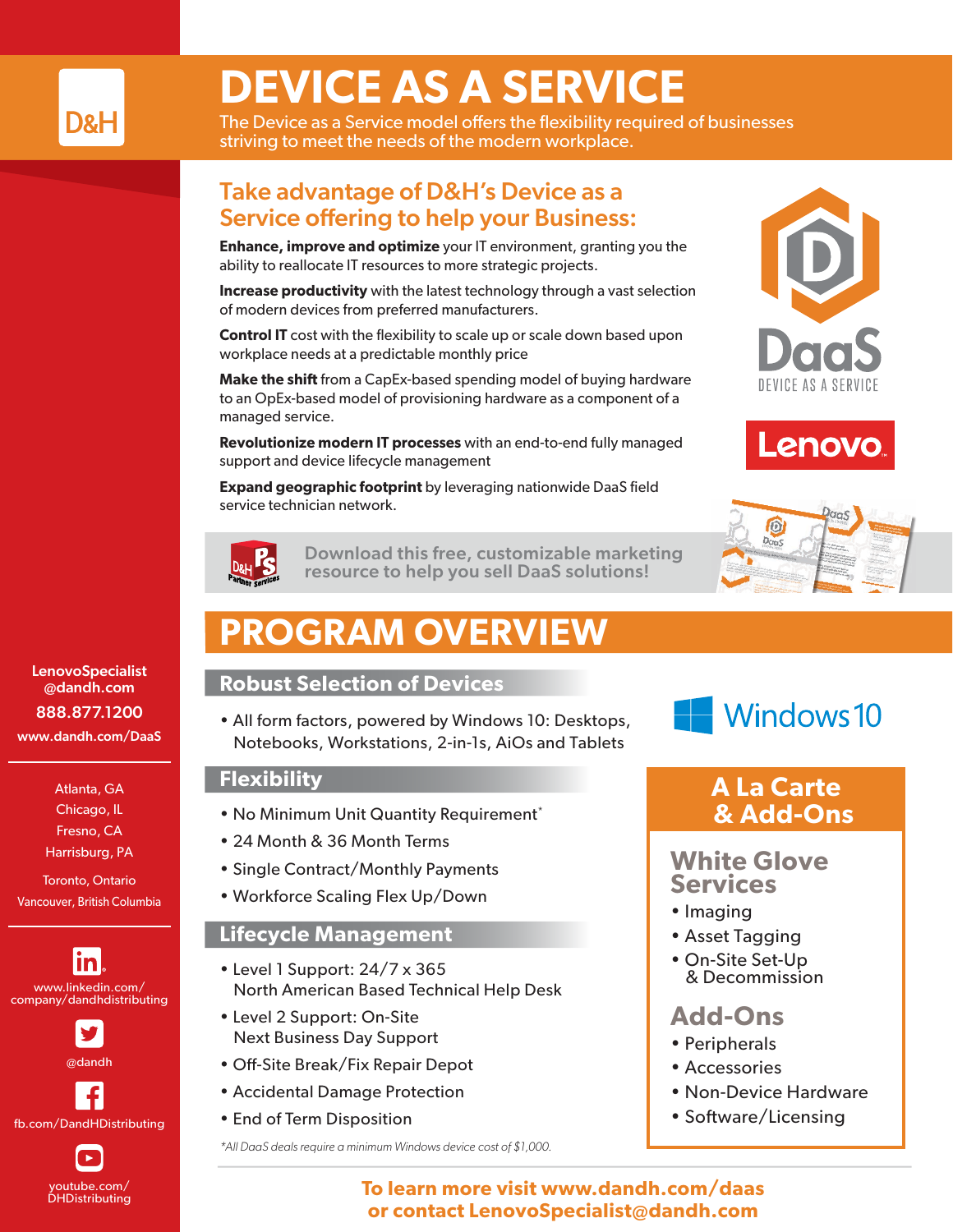

# **DEVICE AS A SERVICE**

The Device as a Service model offers the flexibility required of businesses striving to meet the needs of the modern workplace.

### Take advantage of D&H's Device as a Service offering to help your Business:

**Enhance, improve and optimize** your IT environment, granting you the ability to reallocate IT resources to more strategic projects.

**Increase productivity** with the latest technology through a vast selection of modern devices from preferred manufacturers.

**Control IT** cost with the flexibility to scale up or scale down based upon workplace needs at a predictable monthly price

**Make the shift** from a CapEx-based spending model of buying hardware to an OpEx-based model of provisioning hardware as a component of a managed service.

**Revolutionize modern IT processes** with an end-to-end fully managed support and device lifecycle management

**Expand geographic footprint** by leveraging nationwide DaaS field service technician network.



[Download this free, customizable marketing](https://www.dandh.com/v4/view?pageReq=partner_svc-template-detail&id=ba483800-00d1-493c-b522-83f68d71600d)  resource to help you sell DaaS solutions!

## **PROGRAM OVERVIEW**

#### **Robust Selection of Devices**

• All form factors, powered by Windows 10: Desktops, Notebooks, Workstations, 2-in-1s, AiOs and Tablets

#### **Flexibility**

- No Minimum Unit Quantity Requirement\*
- 24 Month & 36 Month Terms
- Single Contract/Monthly Payments
- Workforce Scaling Flex Up/Down

#### **Lifecycle Management**

- Level 1 Support: 24/7 x 365 North American Based Technical Help Desk
- Level 2 Support: On-Site Next Business Day Support
- Off-Site Break/Fix Repair Depot
- Accidental Damage Protection
- End of Term Disposition

*\*All DaaS deals require a minimum Windows device cost of \$1,000.*









## **A La Carte & Add-Ons**

### **White Glove Services**

- Imaging
- Asset Tagging
- On-Site Set-Up & Decommission

## **Add-Ons**

- Peripherals
- Accessories
- Non-Device Hardware
- Software/Licensing

**To learn more visit www.dandh.com/daas or contact LenovoSpecialist@dandh.com**

LenovoSpecialist @dandh.com 888.877.1200 www.dandh.com/DaaS

> Atlanta, GA Chicago, IL Fresno, CA Harrisburg, PA

Toronto, Ontario Vancouver, British Columbia

<u>in</u> www.linkedin.com/ company/dandhdistributing



fb.com/DandHDistributing